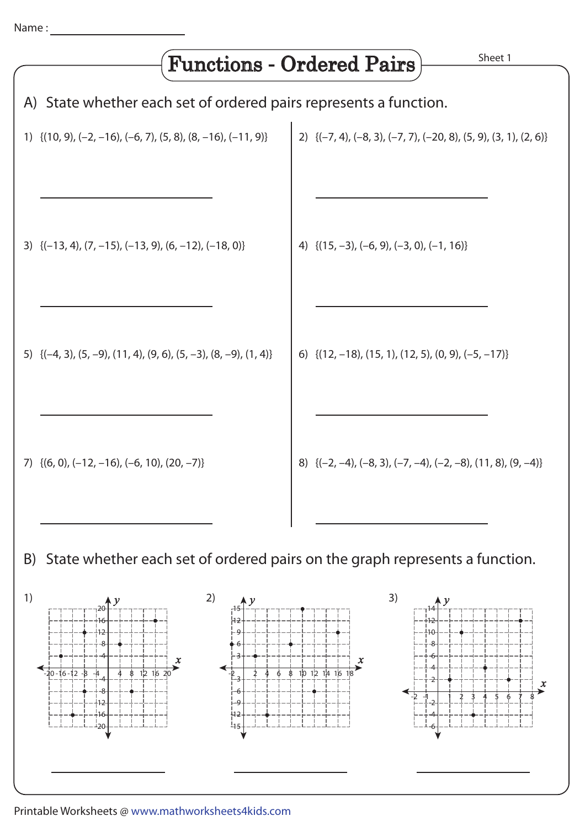

-1-2 2 3 4 1 65 7 8

-2 -4 -6

Printable Worksheets @ www.mathworksheets4kids.com

-9 -12 -15

-12 -16 ⊥്വറ